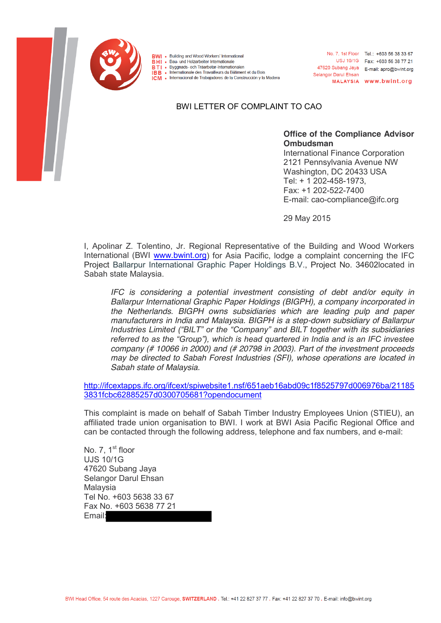

**BWI** • Building and Wood Workers' International

**BHI** • Bau- und Holzarbeiter Internationale **BTI** • Byggnads- och Träarbetar-Internationalen

. Internationale des Travailleurs du Bâtiment et du Bois

ICM . Internacional de Trabajadores de la Construcción y la Madera

BWI LETTER OF COMPLAINT TO CAO

**Office of the Compliance Advisor Ombudsman** 

**Selangor Darul Ehsan** 

No. 7, 1st Floor Tel.: +603 56 38 33 67

47620 Subang Jaya E-mail: apro@bwint.org

USJ 10/1G Fax: +603 56 38 77 21

MALAYSIA www.bwint.org

International Finance Corporation 2121 Pennsylvania Avenue NW Washington, DC 20433 USA Tel: + 1 202-458-1973, Fax: +1 202-522-7400 E-mail: cao-compliance@ifc.org

29 May 2015

I, Apolinar Z. Tolentino, Jr. Regional Representative of the Building and Wood Workers International (BWI [www.bwint.org\)](http://www.bwint.org/) for Asia Pacific, lodge a complaint concerning the IFC Project Ballarpur International Graphic Paper Holdings B.V., Project No. 34602located in Sabah state Malaysia.

*IFC is considering a potential investment consisting of debt and/or equity in Ballarpur International Graphic Paper Holdings (BIGPH), a company incorporated in the Netherlands. BIGPH owns subsidiaries which are leading pulp and paper manufacturers in India and Malaysia. BIGPH is a step-down subsidiary of Ballarpur Industries Limited ("BILT" or the "Company" and BILT together with its subsidiaries referred to as the "Group"), which is head quartered in India and is an IFC investee company (# 10066 in 2000) and (# 20798 in 2003). Part of the investment proceeds may be directed to Sabah Forest Industries (SFI), whose operations are located in Sabah state of Malaysia.* 

[http://ifcextapps.ifc.org/ifcext/spiwebsite1.nsf/651aeb16abd09c1f8525797d006976ba/21185](http://ifcextapps.ifc.org/ifcext/spiwebsite1.nsf/651aeb16abd09c1f8525797d006976ba/211853831fcbc62885257d0300705681?opendocument) [3831fcbc62885257d0300705681?opendocument](http://ifcextapps.ifc.org/ifcext/spiwebsite1.nsf/651aeb16abd09c1f8525797d006976ba/211853831fcbc62885257d0300705681?opendocument)

This complaint is made on behalf of Sabah Timber Industry Employees Union (STIEU), an affiliated trade union organisation to BWI. I work at BWI Asia Pacific Regional Office and can be contacted through the following address, telephone and fax numbers, and e-mail:

No. 7. 1<sup>st</sup> floor UJS 10/1G 47620 Subang Jaya Selangor Darul Ehsan Malaysia Tel No. +603 5638 33 67 Fax No. +603 5638 77 21 Email: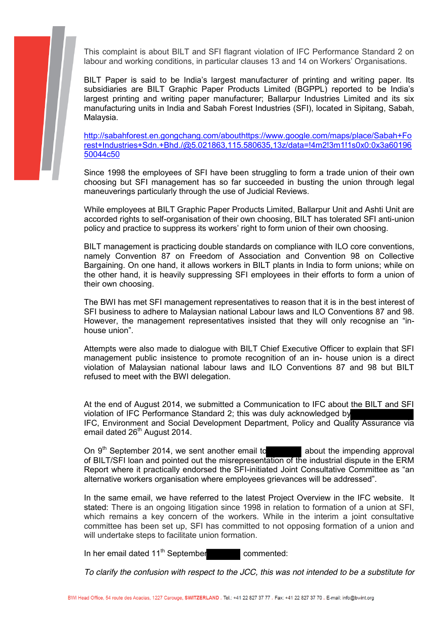

This complaint is about BILT and SFI flagrant violation of IFC Performance Standard 2 on labour and working conditions, in particular clauses 13 and 14 on Workers' Organisations.

BILT Paper is said to be India's largest manufacturer of printing and writing paper. Its subsidiaries are BILT Graphic Paper Products Limited (BGPPL) reported to be India's largest printing and writing paper manufacturer; Ballarpur Industries Limited and its six manufacturing units in India and Sabah Forest Industries (SFI), located in Sipitang, Sabah, Malaysia.

[http://sabahforest.en.gongchang.com/abouthttps://www.google.com/maps/place/Sabah+Fo](http://sabahforest.en.gongchang.com/about) rest+Industries+Sdn.+Bhd./@5.021863,115.580635,13z/data=!4m2!3m1!1s0x0:0x3a60196 50044c50

Since 1998 the employees of SFI have been struggling to form a trade union of their own choosing but SFI management has so far succeeded in busting the union through legal maneuverings particularly through the use of Judicial Reviews.

While employees at BILT Graphic Paper Products Limited, Ballarpur Unit and Ashti Unit are accorded rights to self-organisation of their own choosing, BILT has tolerated SFI anti-union policy and practice to suppress its workers' right to form union of their own choosing.

BILT management is practicing double standards on compliance with ILO core conventions, namely Convention 87 on Freedom of Association and Convention 98 on Collective Bargaining. On one hand, it allows workers in BILT plants in India to form unions; while on the other hand, it is heavily suppressing SFI employees in their efforts to form a union of their own choosing.

The BWI has met SFI management representatives to reason that it is in the best interest of SFI business to adhere to Malaysian national Labour laws and ILO Conventions 87 and 98. However, the management representatives insisted that they will only recognise an "inhouse union".

Attempts were also made to dialogue with BILT Chief Executive Officer to explain that SFI management public insistence to promote recognition of an in- house union is a direct violation of Malaysian national labour laws and ILO Conventions 87 and 98 but BILT refused to meet with the BWI delegation.

At the end of August 2014, we submitted a Communication to IFC about the BILT and SFI violation of IFC Performance Standard 2; this was duly acknowledged by IFC, Environment and Social Development Department, Policy and Quality Assurance via email dated 26<sup>th</sup> August 2014.

On  $9<sup>th</sup>$  September 2014, we sent another email to about the impending approval of BILT/SFI loan and pointed out the misrepresentation of the industrial dispute in the ERM Report where it practically endorsed the SFI-initiated Joint Consultative Committee as "an alternative workers organisation where employees grievances will be addressed".

In the same email, we have referred to the latest Project Overview in the IFC website. It stated: There is an ongoing litigation since 1998 in relation to formation of a union at SFI, which remains a key concern of the workers. While in the interim a joint consultative committee has been set up, SFI has committed to not opposing formation of a union and will undertake steps to facilitate union formation.

In her email dated 11<sup>th</sup> September commented:

*To clarify the confusion with respect to the JCC, this was not intended to be a substitute for*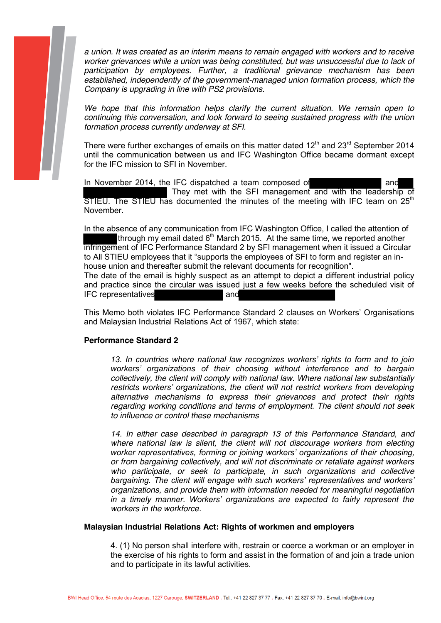

*a union. It was created as an interim means to remain engaged with workers and to receive worker grievances while a union was being constituted, but was unsuccessful due to lack of participation by employees. Further, a traditional grievance mechanism has been established, independently of the government-managed union formation process, which the Company is upgrading in line with PS2 provisions.* 

*We hope that this information helps clarify the current situation. We remain open to continuing this conversation, and look forward to seeing sustained progress with the union formation process currently underway at SFI.* 

There were further exchanges of emails on this matter dated  $12<sup>th</sup>$  and  $23<sup>rd</sup>$  September 2014 until the communication between us and IFC Washington Office became dormant except for the IFC mission to SFI in November.

In November 2014, the IFC dispatched a team composed of and They met with the SFI management and with the leadership of STIEU. The STIEU has documented the minutes of the meeting with IFC team on  $25<sup>th</sup>$ November.

In the absence of any communication from IFC Washington Office, I called the attention of through my email dated  $6<sup>th</sup>$  March 2015. At the same time, we reported another infringement of IFC Performance Standard 2 by SFI management when it issued a Circular to All STIEU employees that it "supports the employees of SFI to form and register an inhouse union and thereafter submit the relevant documents for recognition". The date of the email is highly suspect as an attempt to depict a different industrial policy

and practice since the circular was issued just a few weeks before the scheduled visit of IFC representatives and

This Memo both violates IFC Performance Standard 2 clauses on Workers' Organisations and Malaysian Industrial Relations Act of 1967, which state:

## **Performance Standard 2**

*13. In countries where national law recognizes workers' rights to form and to join workers' organizations of their choosing without interference and to bargain collectively, the client will comply with national law. Where national law substantially restricts workers' organizations, the client will not restrict workers from developing alternative mechanisms to express their grievances and protect their rights regarding working conditions and terms of employment. The client should not seek to influence or control these mechanisms* 

14. In either case described in paragraph 13 of this Performance Standard, and *where national law is silent, the client will not discourage workers from electing worker representatives, forming or joining workers' organizations of their choosing, or from bargaining collectively, and will not discriminate or retaliate against workers who participate, or seek to participate, in such organizations and collective bargaining. The client will engage with such workers' representatives and workers' organizations, and provide them with information needed for meaningful negotiation in a timely manner. Workers' organizations are expected to fairly represent the workers in the workforce.*

## **Malaysian Industrial Relations Act: Rights of workmen and employers**

4. (1) No person shall interfere with, restrain or coerce a workman or an employer in the exercise of his rights to form and assist in the formation of and join a trade union and to participate in its lawful activities.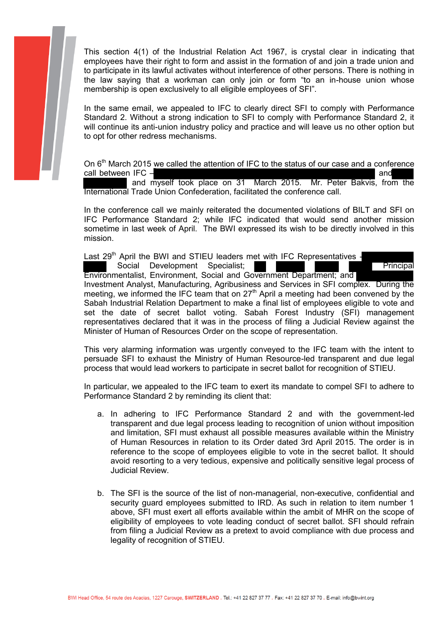

In the same email, we appealed to IFC to clearly direct SFI to comply with Performance Standard 2. Without a strong indication to SFI to comply with Performance Standard 2, it will continue its anti-union industry policy and practice and will leave us no other option but to opt for other redress mechanisms.

On 6<sup>th</sup> March 2015 we called the attention of IFC to the status of our case and a conference call between IFC – and

 and myself took place on 31 March 2015. Mr. Peter Bakvis, from the International Trade Union Confederation, facilitated the conference call.

In the conference call we mainly reiterated the documented violations of BILT and SFI on IFC Performance Standard 2; while IFC indicated that would send another mission sometime in last week of April. The BWI expressed its wish to be directly involved in this mission.

Last  $29<sup>th</sup>$  April the BWI and STIEU leaders met with IFC Representatives -

Social Development Specialist: Principal Principal

Environmentalist, Environment, Social and Government Department; and

Investment Analyst, Manufacturing, Agribusiness and Services in SFI complex. During the meeting, we informed the IFC team that on  $27<sup>th</sup>$  April a meeting had been convened by the Sabah Industrial Relation Department to make a final list of employees eligible to vote and set the date of secret ballot voting. Sabah Forest Industry (SFI) management representatives declared that it was in the process of filing a Judicial Review against the Minister of Human of Resources Order on the scope of representation.

This very alarming information was urgently conveyed to the IFC team with the intent to persuade SFI to exhaust the Ministry of Human Resource-led transparent and due legal process that would lead workers to participate in secret ballot for recognition of STIEU.

In particular, we appealed to the IFC team to exert its mandate to compel SFI to adhere to Performance Standard 2 by reminding its client that:

- a. In adhering to IFC Performance Standard 2 and with the government-led transparent and due legal process leading to recognition of union without imposition and limitation, SFI must exhaust all possible measures available within the Ministry of Human Resources in relation to its Order dated 3rd April 2015. The order is in reference to the scope of employees eligible to vote in the secret ballot. It should avoid resorting to a very tedious, expensive and politically sensitive legal process of Judicial Review.
- b. The SFI is the source of the list of non-managerial, non-executive, confidential and security guard employees submitted to IRD. As such in relation to item number 1 above, SFI must exert all efforts available within the ambit of MHR on the scope of eligibility of employees to vote leading conduct of secret ballot. SFI should refrain from filing a Judicial Review as a pretext to avoid compliance with due process and legality of recognition of STIEU.